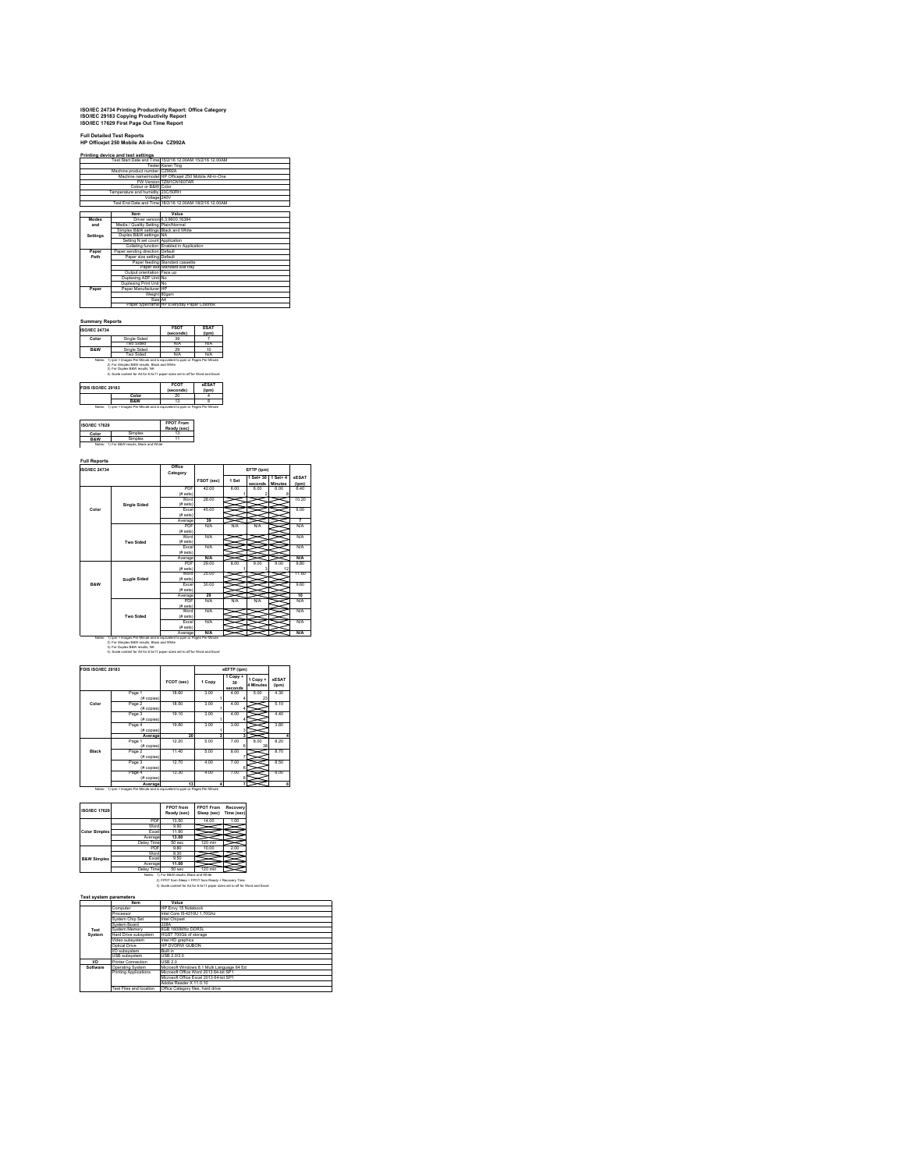## **ISO/IEC 24734 Printing Productivity Report: Office Category ISO/IEC 29183 Copying Productivity Report ISO/IEC 17629 First Page Out Time Report**

## **Full Detailed Test Reports HP Officejet 250 Mobile All-in-One CZ992A**

|          |                                      | Fest Start Date and Time 15/2/16 12.00AM 15/2/16 12.00AM |
|----------|--------------------------------------|----------------------------------------------------------|
|          |                                      | Tester Karen Ting                                        |
|          | Machine product number CZ992A        |                                                          |
|          |                                      | Machine name/model HP Officeiet 250 Mobile All-in-One    |
|          |                                      | FW Version TZM1CN1607AR                                  |
|          | Colour or B&W Color                  |                                                          |
|          | Temperature and humidity 23C/50RH    |                                                          |
|          | Voltage 240V                         |                                                          |
|          |                                      | Test End Date and Time 18/2/16 12:00AM 18/2/16 12:00AM   |
|          |                                      |                                                          |
|          | Item                                 | Value                                                    |
| Modes    |                                      | Driver version 6.3.9600.16384                            |
| and      | Media / Quality Setting Plain/Normal |                                                          |
|          | Simplex B&W settings Black and White |                                                          |
| Settings | Duplex B&W settings NA               |                                                          |
|          | Setting N set count Application      |                                                          |
|          |                                      | Collating function Enabled in Application                |
| Paper    | Paper sending direction Default      |                                                          |
| Path     | Paper size setting Default           |                                                          |
|          |                                      | Paper feeding Standard cassette                          |
|          |                                      | Paper exit Standard exit trav                            |
|          | Output orientation Face up           |                                                          |
|          | Duplexing ADF Unit No                |                                                          |
|          | Duplexing Print Unit No              |                                                          |
| Paper    | Paper Manufacturer IHP               |                                                          |
|          | Weight 80gsm                         |                                                          |
|          | Size A4                              |                                                          |
|          |                                      | Paper type/name HP Everyday Paper Colorlok               |

### **Summary Reports ISO/IEC 24734 FSOT**

| <b>ISO/IEC 24734</b> |                                                                              | <b>FSOT</b><br>(seconds)                                                       | <b>ESAT</b><br>(ipm)  |  |
|----------------------|------------------------------------------------------------------------------|--------------------------------------------------------------------------------|-----------------------|--|
| Color                | Single Sided                                                                 | 39                                                                             |                       |  |
|                      | Two Sided                                                                    | N/A                                                                            | N/A                   |  |
| <b>R&amp;W</b>       | Single Sided                                                                 | 29                                                                             | 10                    |  |
|                      | Two Sided                                                                    | N/A                                                                            | N/A                   |  |
|                      | 2) For Simplex B&W results. Black and White<br>3) For Duplex B&W results, NA | Notes: 1) jom = Images Per Minute and is equivalent to pom or Pages Per Minute |                       |  |
|                      | 4) Scale content for A4 for 8.5x11 paper sizes set to off for Word and Excel |                                                                                |                       |  |
| FDIS ISO/IEC 29183   |                                                                              | <b>FCOT</b><br>(seconds)                                                       | <b>sESAT</b><br>(ipm) |  |
|                      | Color                                                                        | 20                                                                             |                       |  |

| <b>ISO/IEC 17629</b> |        | <b>FPOT From</b><br>Ready (sec) |
|----------------------|--------|---------------------------------|
| Color                |        |                                 |
|                      | imnlex |                                 |

### **Full Reports**

| <b>ISO/IEC 24734</b> |                     |            |            |       | EFTP (jpm)           |                                |                       |  |
|----------------------|---------------------|------------|------------|-------|----------------------|--------------------------------|-----------------------|--|
|                      |                     | Category   | FSOT (sec) | 1 Set | 1 Set+ 30<br>seconds | $1$ Set+ $4$<br><b>Minutes</b> | <b>sESAT</b><br>(iom) |  |
|                      |                     | PDF        | 42 m       | 600   | 6.00                 | 6.00                           | 6.40                  |  |
|                      |                     | (# sets)   |            |       |                      |                                |                       |  |
|                      |                     | Word       | 28.00      |       |                      |                                | 10.20                 |  |
|                      | <b>Single Sided</b> | (# sets)   |            |       |                      |                                |                       |  |
| Color                |                     | Excel      | 45 00      |       |                      |                                | 6.00                  |  |
|                      |                     | (# sets)   |            |       |                      |                                |                       |  |
|                      |                     | Average    | 39         |       |                      |                                | 7                     |  |
|                      |                     | <b>PDF</b> | N/A        | N/A   | N/A                  |                                | <b>N/A</b>            |  |
|                      |                     | (# sets)   |            |       |                      |                                |                       |  |
|                      |                     | Word       | N/A        |       |                      |                                | <b>N/A</b>            |  |
|                      | Two Sided           | (# sets)   |            |       |                      |                                |                       |  |
|                      |                     | Excel      | N/A        |       |                      |                                | <b>N/A</b>            |  |
|                      |                     | (# sets)   |            |       |                      |                                |                       |  |
|                      |                     | Average    | N/A        |       |                      |                                | N/A                   |  |
|                      |                     | PDF        | 29.00      | 800   | 9.00                 | 9.00                           | 9.80                  |  |
|                      |                     | (# sets)   |            |       |                      | 12                             |                       |  |
|                      |                     | Word       | 25 00      |       |                      |                                | 11.80                 |  |
|                      | <b>Single Sided</b> | (# sets)   |            |       |                      |                                |                       |  |
| <b>R&amp;W</b>       |                     | Excel      | 30.00      |       |                      |                                | 9.60                  |  |
|                      |                     | (# sets)   |            |       |                      |                                |                       |  |
|                      |                     | Average    | 29         |       |                      |                                | 10                    |  |
|                      |                     | PDF        | N/A        | N/A   | N/A                  |                                | NA                    |  |
|                      |                     | (# sets)   |            |       |                      |                                |                       |  |
|                      |                     | Word       | N/A        |       |                      |                                | <b>N/A</b>            |  |
|                      | Two Sided           | (# sets)   |            |       |                      |                                |                       |  |
|                      |                     | Excel      | N/A        |       |                      |                                | <b>N/A</b>            |  |
|                      |                     | (# sets)   |            |       |                      |                                |                       |  |
|                      |                     | Average    | N/A        |       |                      |                                | N/A                   |  |

 $\overline{\phantom{a}}$ 

| FDIS ISO/IEC 29183 |                        |            |           | sEFTP (jpm)                            |                       |                       |  |
|--------------------|------------------------|------------|-----------|----------------------------------------|-----------------------|-----------------------|--|
|                    |                        | FCOT (sec) | 1 Copy    | 1 Copy +<br>30 <sub>0</sub><br>seconds | 1 Copy +<br>4 Minutes | <b>sESAT</b><br>(ipm) |  |
|                    | Page 1<br>(# copies)   | 18.60      | 3.00      | 4.00                                   | 5.00<br>23            | 4.30                  |  |
| Color              | Page 2<br>$(E$ copies) | 18.50      | 3.00      | 4.00                                   |                       | 5.10                  |  |
|                    | Page 3<br>(# copies)   | 19.10      | 3.00      | 4.00                                   |                       | 4.40                  |  |
|                    | Page 4<br>$(E$ copies) | 19.80      | 3.00      | 3.00                                   |                       | 3.80                  |  |
|                    | Average                | 20         | ä         | з                                      |                       |                       |  |
|                    | Page 1<br>(# copies)   | 12.20      | 5.00      | 7.00                                   | 8.00<br>38            | 8.20                  |  |
| Black              | Page 2<br>(# copies)   | 11.40      | 5.00      | 8.00                                   |                       | 8.70                  |  |
|                    | Page 3<br>(# copies)   | 12.70      | 4.00      | 7.00<br>в                              |                       | 8.50                  |  |
|                    | Page 4<br>$(E$ copies) | 13.30      | 4.00      | 7.00<br>ĸ                              |                       | 8.00                  |  |
|                    | Average                | 13         | $\lambda$ | 7                                      |                       |                       |  |

| <b>ISO/IEC 17629</b>   |              | <b>FPOT</b> from<br>Ready (sec) | <b>FPOT From</b><br>Sleep (sec) | Recovery<br>Time (sec) |
|------------------------|--------------|---------------------------------|---------------------------------|------------------------|
|                        | <b>PDF</b>   | 13.50                           | 14.00                           | 1.00                   |
|                        | Word         | 9.90                            |                                 |                        |
| <b>Color Simplex</b>   | <b>Excel</b> | 11.90                           |                                 |                        |
|                        | Average      | 13.00                           |                                 |                        |
|                        | Delay Time   | 50 sec                          | 120 min                         |                        |
|                        | <b>PDF</b>   | 9.80                            | 10.00                           | 2.00                   |
|                        | Word         | 8.30                            |                                 |                        |
| <b>B&amp;W Simplex</b> | <b>Excel</b> | 9.50                            |                                 |                        |
|                        | Average      | 11.00                           |                                 |                        |
|                        | Delay Time   | 50 sec                          | 120 min                         |                        |

# Delay Time 50 sec 120 min<br>Notes: 1) For B&W results, Black and White<br>2) FPOT from Sleep = FPOT from Ready + Recovery Time<br>3) Scale content for A4 for 8.5x11 paper sizes set to off for Word and Excel

|           | <b>Test system parameters</b> |                                            |
|-----------|-------------------------------|--------------------------------------------|
|           | Item                          | Value                                      |
|           | Computer                      | HP Envy 15 Notebook                        |
|           | Processor                     | Intel Core I5-4210U 1.70Ghz                |
|           | System Chip Set               | Intel Chipset                              |
|           | System Roard                  | 228A                                       |
| Test      | System Memory                 | 8GB 1600MHz DDR3L                          |
| System    | Hard Drive subsystem          | HGST 700Gb of storage                      |
|           | Video subsystem               | Intel HD graphics                          |
|           | Ontical Drive                 | HP DVDRW GURON                             |
|           | I/O subsystem                 | <b>Built in</b>                            |
|           | USB subsystem                 | <b>USB 2030</b>                            |
| <b>MO</b> | <b>Printer Connection</b>     | USB 2.0                                    |
| Software  | Operating System              | Microsoft Windows 8.1 Multi Language 64 Ed |
|           | <b>Printing Applications</b>  | Microsoft Office Word 2013 64-bit SP1      |
|           |                               | Microsoft Office Excel 2013 64-bit SP1     |
|           |                               | Adobe Reader X 11 0 10                     |
|           | Test Files and location       | Office Category files, hard drive          |